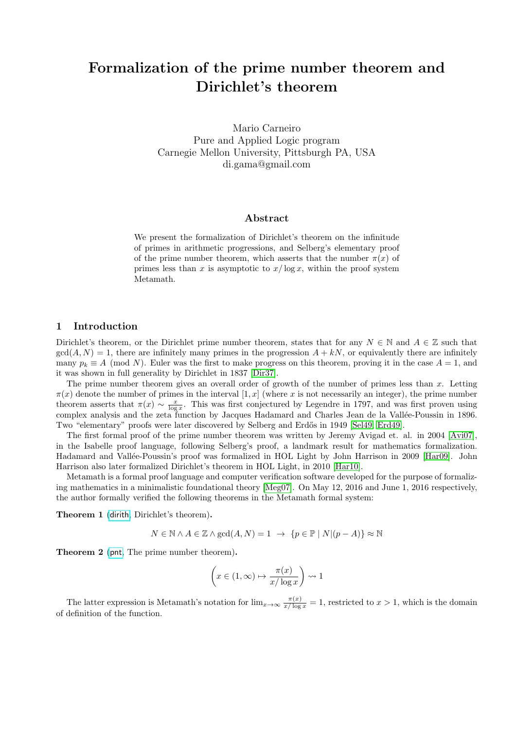# Formalization of the prime number theorem and Dirichlet's theorem

Mario Carneiro Pure and Applied Logic program Carnegie Mellon University, Pittsburgh PA, USA di.gama@gmail.com

#### Abstract

We present the formalization of Dirichlet's theorem on the infinitude of primes in arithmetic progressions, and Selberg's elementary proof of the prime number theorem, which asserts that the number  $\pi(x)$  of primes less than x is asymptotic to  $x/\log x$ , within the proof system Metamath.

#### 1 Introduction

Dirichlet's theorem, or the Dirichlet prime number theorem, states that for any  $N \in \mathbb{N}$  and  $A \in \mathbb{Z}$  such that  $gcd(A, N) = 1$ , there are infinitely many primes in the progression  $A + kN$ , or equivalently there are infinitely many  $p_k \equiv A \pmod{N}$ . Euler was the first to make progress on this theorem, proving it in the case  $A = 1$ , and it was shown in full generality by Dirichlet in 1837 [\[Dir37\]](#page-2-0).

The prime number theorem gives an overall order of growth of the number of primes less than  $x$ . Letting  $\pi(x)$  denote the number of primes in the interval  $[1, x]$  (where x is not necessarily an integer), the prime number theorem asserts that  $\pi(x) \sim \frac{x}{\log x}$ . This was first conjectured by Legendre in 1797, and was first proven using complex analysis and the zeta function by Jacques Hadamard and Charles Jean de la Vall´ee-Poussin in 1896. Two "elementary" proofs were later discovered by Selberg and Erdős in 1949 [\[Sel49,](#page-3-0) [Erd49\]](#page-3-1).

The first formal proof of the prime number theorem was written by Jeremy Avigad et. al. in 2004 [\[Avi07\]](#page-3-2), in the Isabelle proof language, following Selberg's proof, a landmark result for mathematics formalization. Hadamard and Vallée-Poussin's proof was formalized in HOL Light by John Harrison in 2009 [\[Har09\]](#page-3-3). John Harrison also later formalized Dirichlet's theorem in HOL Light, in 2010 [\[Har10\]](#page-3-4).

Metamath is a formal proof language and computer verification software developed for the purpose of formalizing mathematics in a minimalistic foundational theory [\[Meg07\]](#page-3-5). On May 12, 2016 and June 1, 2016 respectively, the author formally verified the following theorems in the Metamath formal system:

Theorem 1 ([dirith](http://us.metamath.org/mpegif/dirith.html), Dirichlet's theorem).

$$
N \in \mathbb{N} \land A \in \mathbb{Z} \land \gcd(A, N) = 1 \rightarrow \{p \in \mathbb{P} \mid N | (p - A)\} \approx \mathbb{N}
$$

Theorem 2 ([pnt](http://us.metamath.org/mpegif/pnt.html), The prime number theorem).

$$
\left(x \in (1, \infty) \mapsto \frac{\pi(x)}{x/\log x}\right) \rightsquigarrow 1
$$

The latter expression is Metamath's notation for  $\lim_{x\to\infty} \frac{\pi(x)}{x/\log x} = 1$ , restricted to  $x > 1$ , which is the domain of definition of the function.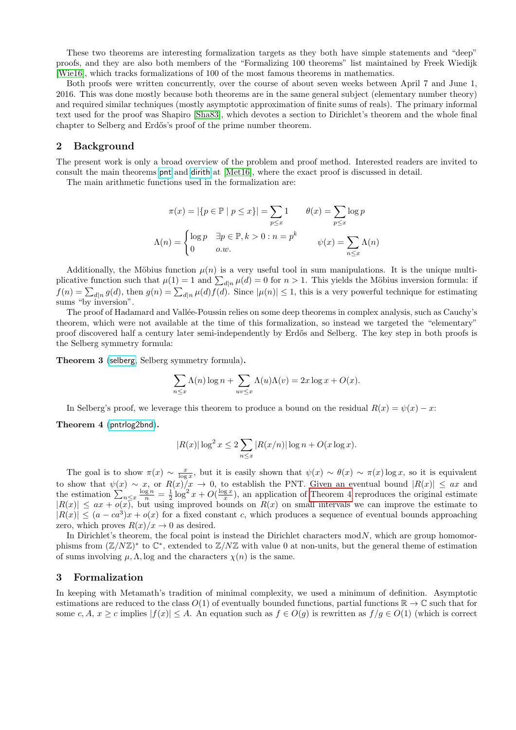These two theorems are interesting formalization targets as they both have simple statements and "deep" proofs, and they are also both members of the "Formalizing 100 theorems" list maintained by Freek Wiedijk [\[Wie16\]](#page-3-6), which tracks formalizations of 100 of the most famous theorems in mathematics.

Both proofs were written concurrently, over the course of about seven weeks between April 7 and June 1, 2016. This was done mostly because both theorems are in the same general subject (elementary number theory) and required similar techniques (mostly asymptotic approximation of finite sums of reals). The primary informal text used for the proof was Shapiro [\[Sha83\]](#page-3-7), which devotes a section to Dirichlet's theorem and the whole final chapter to Selberg and Erdős's proof of the prime number theorem.

# 2 Background

The present work is only a broad overview of the problem and proof method. Interested readers are invited to consult the main theorems [pnt](http://us.metamath.org/mpegif/pnt.html) and [dirith](http://us.metamath.org/mpegif/dirith.html) at [\[Met16\]](#page-3-8), where the exact proof is discussed in detail.

The main arithmetic functions used in the formalization are:

$$
\pi(x) = |\{p \in \mathbb{P} \mid p \le x\}| = \sum_{p \le x} 1 \qquad \theta(x) = \sum_{p \le x} \log p
$$

$$
\Lambda(n) = \begin{cases} \log p & \exists p \in \mathbb{P}, k > 0 : n = p^k \\ 0 & o.w. \end{cases} \qquad \psi(x) = \sum_{n \le x} \Lambda(n)
$$

Additionally, the Möbius function  $\mu(n)$  is a very useful tool in sum manipulations. It is the unique multiplicative function such that  $\mu(1) = 1$  and  $\sum_{d|n} \mu(d) = 0$  for  $n > 1$ . This yields the Möbius inversion formula: if  $f(n) = \sum_{d|n} g(d)$ , then  $g(n) = \sum_{d|n} \mu(d) f(d)$ . Since  $|\mu(n)| \leq 1$ , this is a very powerful technique for estimating sums "by inversion".

The proof of Hadamard and Vallée-Poussin relies on some deep theorems in complex analysis, such as Cauchy's theorem, which were not available at the time of this formalization, so instead we targeted the "elementary" proof discovered half a century later semi-independently by Erdős and Selberg. The key step in both proofs is the Selberg symmetry formula:

Theorem 3 ([selberg](http://us.metamath.org/mpegif/selberg.html), Selberg symmetry formula).

$$
\sum_{n \le x} \Lambda(n) \log n + \sum_{uv \le x} \Lambda(u) \Lambda(v) = 2x \log x + O(x).
$$

In Selberg's proof, we leverage this theorem to produce a bound on the residual  $R(x) = \psi(x) - x$ :

<span id="page-1-0"></span>Theorem 4 ([pntrlog2bnd](http://us.metamath.org/mpegif/pntrlog2bnd.html)).

$$
|R(x)| \log^2 x \le 2 \sum_{n \le x} |R(x/n)| \log n + O(x \log x).
$$

The goal is to show  $\pi(x) \sim \frac{x}{\log x}$ , but it is easily shown that  $\psi(x) \sim \theta(x) \sim \pi(x) \log x$ , so it is equivalent to show that  $\psi(x) \sim x$ , or  $R(x)/x \to 0$ , to establish the PNT. Given an eventual bound  $|R(x)| \leq ax$  and the estimation  $\sum_{n\leq x}\frac{\log n}{n}=\frac{1}{2}\log^2 x+O(\frac{\log x}{x})$ , an application of [Theorem 4](#page-1-0) reproduces the original estimate  $|R(x)| \leq ax + o(x)$ , but using improved bounds on  $R(x)$  on small intervals we can improve the estimate to  $|R(x)| \leq (a - ca^3)x + o(x)$  for a fixed constant c, which produces a sequence of eventual bounds approaching zero, which proves  $R(x)/x \to 0$  as desired.

In Dirichlet's theorem, the focal point is instead the Dirichlet characters  $\text{mod } N$ , which are group homomorphisms from  $(\mathbb{Z}/N\mathbb{Z})^*$  to  $\mathbb{C}^*$ , extended to  $\mathbb{Z}/N\mathbb{Z}$  with value 0 at non-units, but the general theme of estimation of sums involving  $\mu$ ,  $\Lambda$ , log and the characters  $\chi(n)$  is the same.

#### 3 Formalization

In keeping with Metamath's tradition of minimal complexity, we used a minimum of definition. Asymptotic estimations are reduced to the class  $O(1)$  of eventually bounded functions, partial functions  $\mathbb{R} \to \mathbb{C}$  such that for some c, A,  $x \ge c$  implies  $|f(x)| \le A$ . An equation such as  $f \in O(g)$  is rewritten as  $f/g \in O(1)$  (which is correct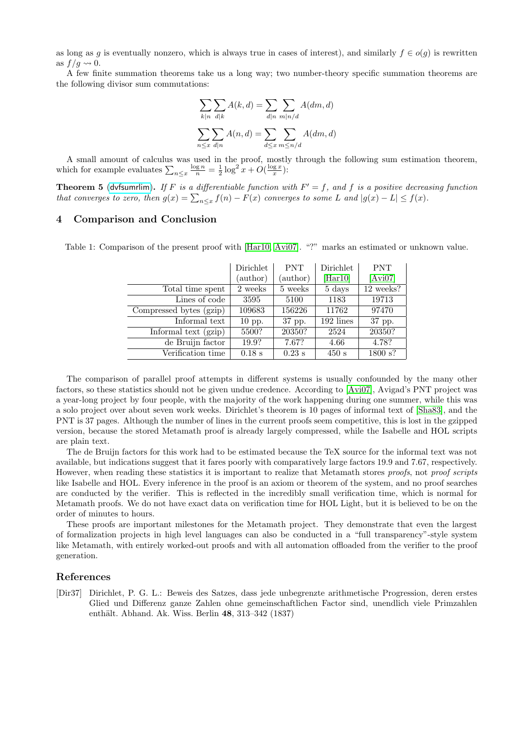as long as g is eventually nonzero, which is always true in cases of interest), and similarly  $f \in o(q)$  is rewritten as  $f/q \rightsquigarrow 0$ .

A few finite summation theorems take us a long way; two number-theory specific summation theorems are the following divisor sum commutations:

$$
\sum_{k|n} \sum_{d|k} A(k, d) = \sum_{d|n} \sum_{m|n/d} A(dm, d)
$$

$$
\sum_{n \le x} \sum_{d|n} A(n, d) = \sum_{d \le x} \sum_{m \le n/d} A(dm, d)
$$

A small amount of calculus was used in the proof, mostly through the following sum estimation theorem, which for example evaluates  $\sum_{n\leq x} \frac{\log n}{n} = \frac{1}{2} \log^2 x + O(\frac{\log x}{x})$ :

**Theorem 5** ([dvfsumrlim](http://us.metamath.org/mpegif/dvfsumrlim.html)). If F is a differentiable function with  $F' = f$ , and f is a positive decreasing function that converges to zero, then  $g(x) = \sum_{n \leq x} f(n) - F(x)$  converges to some L and  $|g(x) - L| \leq f(x)$ .

# 4 Comparison and Conclusion

|                         | Dirichlet<br>(author) | <b>PNT</b><br>(author) | Dirichlet<br>[Har10] | <b>PNT</b><br>[Avi07] |
|-------------------------|-----------------------|------------------------|----------------------|-----------------------|
| Total time spent        | 2 weeks               | 5 weeks                | 5 days               | 12 weeks?             |
| Lines of code           | 3595                  | 5100                   | 1183                 | 19713                 |
| Compressed bytes (gzip) | 109683                | 156226                 | 11762                | 97470                 |
| Informal text           | $10$ pp.              | 37 pp.                 | 192 lines            | 37 pp.                |
| Informal text (gzip)    | 5500?                 | 20350?                 | 2524                 | 20350?                |
| de Bruijn factor        | 19.9?                 | 7.67?                  | 4.66                 | 4.78?                 |
| Verification time       | $0.18$ s              | $0.23$ s               | 450 s                | 1800 s?               |

Table 1: Comparison of the present proof with [\[Har10,](#page-3-4) [Avi07\]](#page-3-2). "?" marks an estimated or unknown value.

The comparison of parallel proof attempts in different systems is usually confounded by the many other factors, so these statistics should not be given undue credence. According to [\[Avi07\]](#page-3-2), Avigad's PNT project was a year-long project by four people, with the majority of the work happening during one summer, while this was a solo project over about seven work weeks. Dirichlet's theorem is 10 pages of informal text of [\[Sha83\]](#page-3-7), and the PNT is 37 pages. Although the number of lines in the current proofs seem competitive, this is lost in the gzipped version, because the stored Metamath proof is already largely compressed, while the Isabelle and HOL scripts are plain text.

The de Bruijn factors for this work had to be estimated because the TeX source for the informal text was not available, but indications suggest that it fares poorly with comparatively large factors 19.9 and 7.67, respectively. However, when reading these statistics it is important to realize that Metamath stores proofs, not proof scripts like Isabelle and HOL. Every inference in the proof is an axiom or theorem of the system, and no proof searches are conducted by the verifier. This is reflected in the incredibly small verification time, which is normal for Metamath proofs. We do not have exact data on verification time for HOL Light, but it is believed to be on the order of minutes to hours.

These proofs are important milestones for the Metamath project. They demonstrate that even the largest of formalization projects in high level languages can also be conducted in a "full transparency"-style system like Metamath, with entirely worked-out proofs and with all automation offloaded from the verifier to the proof generation.

# References

<span id="page-2-0"></span>[Dir37] Dirichlet, P. G. L.: Beweis des Satzes, dass jede unbegrenzte arithmetische Progression, deren erstes Glied und Differenz ganze Zahlen ohne gemeinschaftlichen Factor sind, unendlich viele Primzahlen enthält. Abhand. Ak. Wiss. Berlin 48, 313–342 (1837)